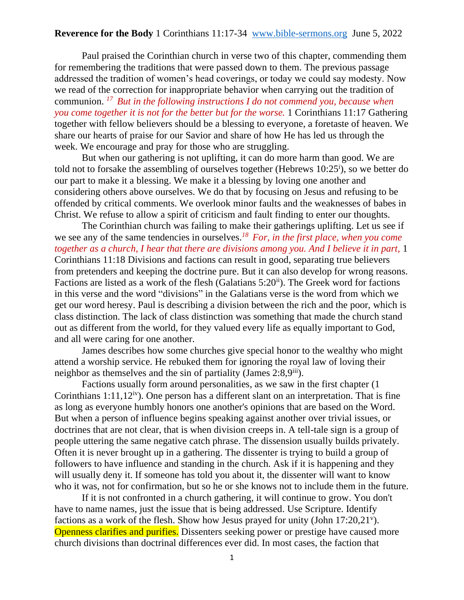Paul praised the Corinthian church in verse two of this chapter, commending them for remembering the traditions that were passed down to them. The previous passage addressed the tradition of women's head coverings, or today we could say modesty. Now we read of the correction for inappropriate behavior when carrying out the tradition of communion. *<sup>17</sup>But in the following instructions I do not commend you, because when you come together it is not for the better but for the worse.* 1 Corinthians 11:17 Gathering together with fellow believers should be a blessing to everyone, a foretaste of heaven. We share our hearts of praise for our Savior and share of how He has led us through the week. We encourage and pray for those who are struggling.

But when our gathering is not uplifting, it can do more harm than good. We are told not to forsake the assembling of ourselves together (Hebrews  $10:25^i$ ), so we better do our part to make it a blessing. We make it a blessing by loving one another and considering others above ourselves. We do that by focusing on Jesus and refusing to be offended by critical comments. We overlook minor faults and the weaknesses of babes in Christ. We refuse to allow a spirit of criticism and fault finding to enter our thoughts.

The Corinthian church was failing to make their gatherings uplifting. Let us see if we see any of the same tendencies in ourselves.*<sup>18</sup>For, in the first place, when you come together as a church, I hear that there are divisions among you. And I believe it in part,* 1 Corinthians 11:18 Divisions and factions can result in good, separating true believers from pretenders and keeping the doctrine pure. But it can also develop for wrong reasons. Factions are listed as a work of the flesh (Galatians  $5:20^{ii}$ ). The Greek word for factions in this verse and the word "divisions" in the Galatians verse is the word from which we get our word heresy. Paul is describing a division between the rich and the poor, which is class distinction. The lack of class distinction was something that made the church stand out as different from the world, for they valued every life as equally important to God, and all were caring for one another.

James describes how some churches give special honor to the wealthy who might attend a worship service. He rebuked them for ignoring the royal law of loving their neighbor as themselves and the sin of partiality (James  $2:8.9<sup>iii</sup>$ ).

Factions usually form around personalities, as we saw in the first chapter (1 Corinthians  $1:11,12<sup>iv</sup>$ . One person has a different slant on an interpretation. That is fine as long as everyone humbly honors one another's opinions that are based on the Word. But when a person of influence begins speaking against another over trivial issues, or doctrines that are not clear, that is when division creeps in. A tell-tale sign is a group of people uttering the same negative catch phrase. The dissension usually builds privately. Often it is never brought up in a gathering. The dissenter is trying to build a group of followers to have influence and standing in the church. Ask if it is happening and they will usually deny it. If someone has told you about it, the dissenter will want to know who it was, not for confirmation, but so he or she knows not to include them in the future.

If it is not confronted in a church gathering, it will continue to grow. You don't have to name names, just the issue that is being addressed. Use Scripture. Identify factions as a work of the flesh. Show how Jesus prayed for unity (John 17:20,21<sup>v</sup>). Openness clarifies and purifies. Dissenters seeking power or prestige have caused more church divisions than doctrinal differences ever did. In most cases, the faction that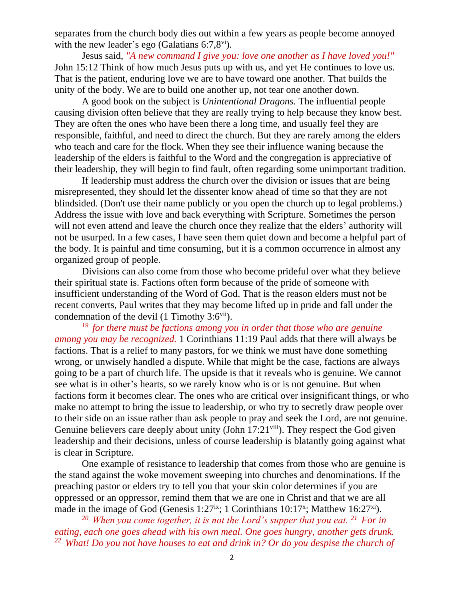separates from the church body dies out within a few years as people become annoyed with the new leader's ego (Galatians  $6:7,8$ <sup>vi</sup>).

Jesus said, *"A new command I give you: love one another as I have loved you!"* John 15:12 Think of how much Jesus puts up with us, and yet He continues to love us. That is the patient, enduring love we are to have toward one another. That builds the unity of the body. We are to build one another up, not tear one another down.

A good book on the subject is *Unintentional Dragons.* The influential people causing division often believe that they are really trying to help because they know best. They are often the ones who have been there a long time, and usually feel they are responsible, faithful, and need to direct the church. But they are rarely among the elders who teach and care for the flock. When they see their influence waning because the leadership of the elders is faithful to the Word and the congregation is appreciative of their leadership, they will begin to find fault, often regarding some unimportant tradition.

If leadership must address the church over the division or issues that are being misrepresented, they should let the dissenter know ahead of time so that they are not blindsided. (Don't use their name publicly or you open the church up to legal problems.) Address the issue with love and back everything with Scripture. Sometimes the person will not even attend and leave the church once they realize that the elders' authority will not be usurped. In a few cases, I have seen them quiet down and become a helpful part of the body. It is painful and time consuming, but it is a common occurrence in almost any organized group of people.

Divisions can also come from those who become prideful over what they believe their spiritual state is. Factions often form because of the pride of someone with insufficient understanding of the Word of God. That is the reason elders must not be recent converts, Paul writes that they may become lifted up in pride and fall under the condemnation of the devil  $(1$  Timothy  $3:6<sup>vi</sup>$ .

*<sup>19</sup>for there must be factions among you in order that those who are genuine among you may be recognized.* 1 Corinthians 11:19 Paul adds that there will always be factions. That is a relief to many pastors, for we think we must have done something wrong, or unwisely handled a dispute. While that might be the case, factions are always going to be a part of church life. The upside is that it reveals who is genuine. We cannot see what is in other's hearts, so we rarely know who is or is not genuine. But when factions form it becomes clear. The ones who are critical over insignificant things, or who make no attempt to bring the issue to leadership, or who try to secretly draw people over to their side on an issue rather than ask people to pray and seek the Lord, are not genuine. Genuine believers care deeply about unity (John  $17:21$ <sup>viii</sup>). They respect the God given leadership and their decisions, unless of course leadership is blatantly going against what is clear in Scripture.

One example of resistance to leadership that comes from those who are genuine is the stand against the woke movement sweeping into churches and denominations. If the preaching pastor or elders try to tell you that your skin color determines if you are oppressed or an oppressor, remind them that we are one in Christ and that we are all made in the image of God (Genesis 1:27<sup>ix</sup>; 1 Corinthians 10:17<sup>x</sup>; Matthew 16:27<sup>xi</sup>).

*<sup>20</sup>When you come together, it is not the Lord's supper that you eat. <sup>21</sup>For in eating, each one goes ahead with his own meal. One goes hungry, another gets drunk. 22 What! Do you not have houses to eat and drink in? Or do you despise the church of*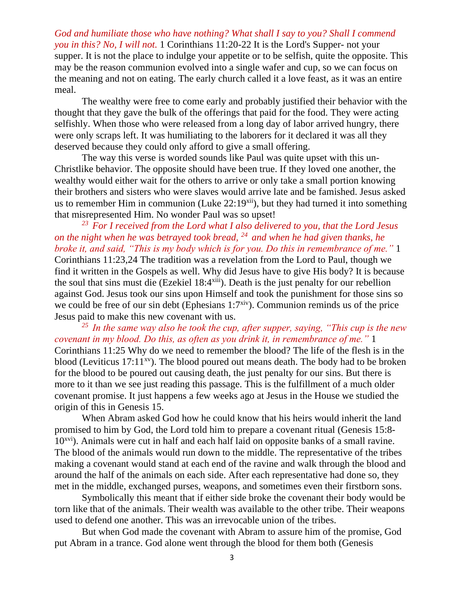*God and humiliate those who have nothing? What shall I say to you? Shall I commend you in this? No, I will not.* 1 Corinthians 11:20-22 It is the Lord's Supper- not your supper. It is not the place to indulge your appetite or to be selfish, quite the opposite. This may be the reason communion evolved into a single wafer and cup, so we can focus on the meaning and not on eating. The early church called it a love feast, as it was an entire meal.

The wealthy were free to come early and probably justified their behavior with the thought that they gave the bulk of the offerings that paid for the food. They were acting selfishly. When those who were released from a long day of labor arrived hungry, there were only scraps left. It was humiliating to the laborers for it declared it was all they deserved because they could only afford to give a small offering.

The way this verse is worded sounds like Paul was quite upset with this un-Christlike behavior. The opposite should have been true. If they loved one another, the wealthy would either wait for the others to arrive or only take a small portion knowing their brothers and sisters who were slaves would arrive late and be famished. Jesus asked us to remember Him in communion (Luke  $22:19^{xii}$ ), but they had turned it into something that misrepresented Him. No wonder Paul was so upset!

*<sup>23</sup>For I received from the Lord what I also delivered to you, that the Lord Jesus on the night when he was betrayed took bread, <sup>24</sup>and when he had given thanks, he broke it, and said, "This is my body which is for you. Do this in remembrance of me."* 1 Corinthians 11:23,24 The tradition was a revelation from the Lord to Paul, though we find it written in the Gospels as well. Why did Jesus have to give His body? It is because the soul that sins must die (Ezekiel 18:4<sup>xiii</sup>). Death is the just penalty for our rebellion against God. Jesus took our sins upon Himself and took the punishment for those sins so we could be free of our sin debt (Ephesians  $1:7^{xiv}$ ). Communion reminds us of the price Jesus paid to make this new covenant with us.

*<sup>25</sup>In the same way also he took the cup, after supper, saying, "This cup is the new covenant in my blood. Do this, as often as you drink it, in remembrance of me."* 1 Corinthians 11:25 Why do we need to remember the blood? The life of the flesh is in the blood (Leviticus  $17:11^{xy}$ ). The blood poured out means death. The body had to be broken for the blood to be poured out causing death, the just penalty for our sins. But there is more to it than we see just reading this passage. This is the fulfillment of a much older covenant promise. It just happens a few weeks ago at Jesus in the House we studied the origin of this in Genesis 15.

When Abram asked God how he could know that his heirs would inherit the land promised to him by God, the Lord told him to prepare a covenant ritual (Genesis 15:8-  $10<sup>xvi</sup>$ ). Animals were cut in half and each half laid on opposite banks of a small ravine. The blood of the animals would run down to the middle. The representative of the tribes making a covenant would stand at each end of the ravine and walk through the blood and around the half of the animals on each side. After each representative had done so, they met in the middle, exchanged purses, weapons, and sometimes even their firstborn sons.

Symbolically this meant that if either side broke the covenant their body would be torn like that of the animals. Their wealth was available to the other tribe. Their weapons used to defend one another. This was an irrevocable union of the tribes.

But when God made the covenant with Abram to assure him of the promise, God put Abram in a trance. God alone went through the blood for them both (Genesis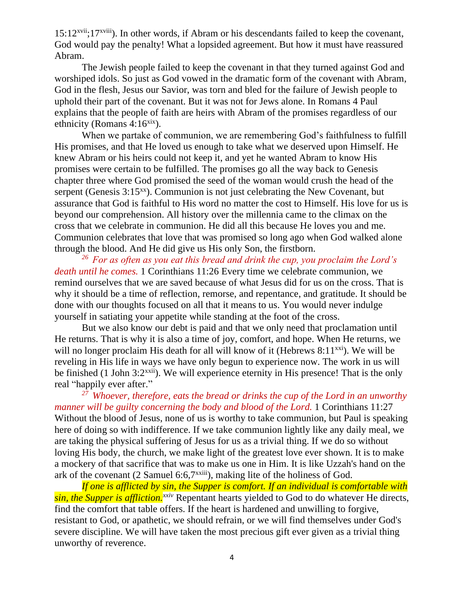$15:12^{xvii}:17^{xviii}$ ). In other words, if Abram or his descendants failed to keep the covenant, God would pay the penalty! What a lopsided agreement. But how it must have reassured Abram.

The Jewish people failed to keep the covenant in that they turned against God and worshiped idols. So just as God vowed in the dramatic form of the covenant with Abram, God in the flesh, Jesus our Savior, was torn and bled for the failure of Jewish people to uphold their part of the covenant. But it was not for Jews alone. In Romans 4 Paul explains that the people of faith are heirs with Abram of the promises regardless of our ethnicity (Romans  $4:16^{x}$ ).

When we partake of communion, we are remembering God's faithfulness to fulfill His promises, and that He loved us enough to take what we deserved upon Himself. He knew Abram or his heirs could not keep it, and yet he wanted Abram to know His promises were certain to be fulfilled. The promises go all the way back to Genesis chapter three where God promised the seed of the woman would crush the head of the serpent (Genesis  $3:15^{xx}$ ). Communion is not just celebrating the New Covenant, but assurance that God is faithful to His word no matter the cost to Himself. His love for us is beyond our comprehension. All history over the millennia came to the climax on the cross that we celebrate in communion. He did all this because He loves you and me. Communion celebrates that love that was promised so long ago when God walked alone through the blood. And He did give us His only Son, the firstborn.

*<sup>26</sup>For as often as you eat this bread and drink the cup, you proclaim the Lord's death until he comes.* 1 Corinthians 11:26 Every time we celebrate communion, we remind ourselves that we are saved because of what Jesus did for us on the cross. That is why it should be a time of reflection, remorse, and repentance, and gratitude. It should be done with our thoughts focused on all that it means to us. You would never indulge yourself in satiating your appetite while standing at the foot of the cross.

But we also know our debt is paid and that we only need that proclamation until He returns. That is why it is also a time of joy, comfort, and hope. When He returns, we will no longer proclaim His death for all will know of it (Hebrews  $8:11^{x}$ ). We will be reveling in His life in ways we have only begun to experience now. The work in us will be finished (1 John  $3:2^{x}$ <sup>xii</sup>). We will experience eternity in His presence! That is the only real "happily ever after."

*<sup>27</sup>Whoever, therefore, eats the bread or drinks the cup of the Lord in an unworthy manner will be guilty concerning the body and blood of the Lord.* 1 Corinthians 11:27 Without the blood of Jesus, none of us is worthy to take communion, but Paul is speaking here of doing so with indifference. If we take communion lightly like any daily meal, we are taking the physical suffering of Jesus for us as a trivial thing. If we do so without loving His body, the church, we make light of the greatest love ever shown. It is to make a mockery of that sacrifice that was to make us one in Him. It is like Uzzah's hand on the ark of the covenant  $(2 \text{ Samuel } 6.6,7^{\text{xxiii}})$ , making lite of the holiness of God.

*If one is afflicted by sin, the Supper is comfort. If an individual is comfortable with sin, the Supper is affliction.*<sup>*xxiv*</sup> Repentant hearts yielded to God to do whatever He directs, find the comfort that table offers. If the heart is hardened and unwilling to forgive, resistant to God, or apathetic, we should refrain, or we will find themselves under God's severe discipline. We will have taken the most precious gift ever given as a trivial thing unworthy of reverence.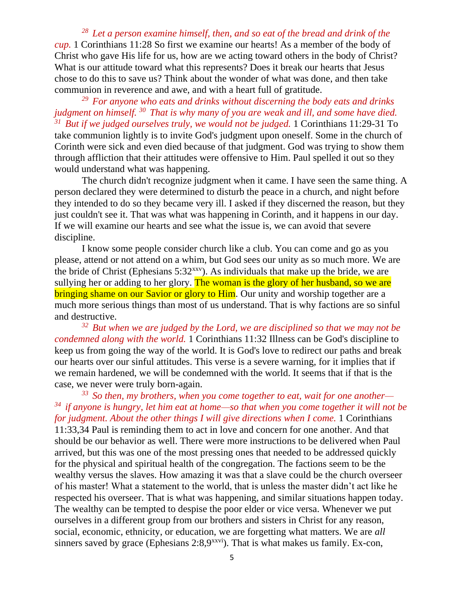*<sup>28</sup>Let a person examine himself, then, and so eat of the bread and drink of the cup.* 1 Corinthians 11:28 So first we examine our hearts! As a member of the body of Christ who gave His life for us, how are we acting toward others in the body of Christ? What is our attitude toward what this represents? Does it break our hearts that Jesus chose to do this to save us? Think about the wonder of what was done, and then take communion in reverence and awe, and with a heart full of gratitude.

*<sup>29</sup>For anyone who eats and drinks without discerning the body eats and drinks judgment on himself. <sup>30</sup>That is why many of you are weak and ill, and some have died. <sup>31</sup>But if we judged ourselves truly, we would not be judged.* 1 Corinthians 11:29-31 To take communion lightly is to invite God's judgment upon oneself. Some in the church of Corinth were sick and even died because of that judgment. God was trying to show them through affliction that their attitudes were offensive to Him. Paul spelled it out so they would understand what was happening.

The church didn't recognize judgment when it came. I have seen the same thing. A person declared they were determined to disturb the peace in a church, and night before they intended to do so they became very ill. I asked if they discerned the reason, but they just couldn't see it. That was what was happening in Corinth, and it happens in our day. If we will examine our hearts and see what the issue is, we can avoid that severe discipline.

I know some people consider church like a club. You can come and go as you please, attend or not attend on a whim, but God sees our unity as so much more. We are the bride of Christ (Ephesians  $5:32^{xxy}$ ). As individuals that make up the bride, we are sullying her or adding to her glory. The woman is the glory of her husband, so we are bringing shame on our Savior or glory to Him. Our unity and worship together are a much more serious things than most of us understand. That is why factions are so sinful and destructive.

*<sup>32</sup>But when we are judged by the Lord, we are disciplined so that we may not be condemned along with the world.* 1 Corinthians 11:32 Illness can be God's discipline to keep us from going the way of the world. It is God's love to redirect our paths and break our hearts over our sinful attitudes. This verse is a severe warning, for it implies that if we remain hardened, we will be condemned with the world. It seems that if that is the case, we never were truly born-again.

*<sup>33</sup>So then, my brothers, when you come together to eat, wait for one another— <sup>34</sup>if anyone is hungry, let him eat at home—so that when you come together it will not be for judgment. About the other things I will give directions when I come.* 1 Corinthians

11:33,34 Paul is reminding them to act in love and concern for one another. And that should be our behavior as well. There were more instructions to be delivered when Paul arrived, but this was one of the most pressing ones that needed to be addressed quickly for the physical and spiritual health of the congregation. The factions seem to be the wealthy versus the slaves. How amazing it was that a slave could be the church overseer of his master! What a statement to the world, that is unless the master didn't act like he respected his overseer. That is what was happening, and similar situations happen today. The wealthy can be tempted to despise the poor elder or vice versa. Whenever we put ourselves in a different group from our brothers and sisters in Christ for any reason, social, economic, ethnicity, or education, we are forgetting what matters. We are *all* sinners saved by grace (Ephesians 2:8,9<sup>xxvi</sup>). That is what makes us family. Ex-con,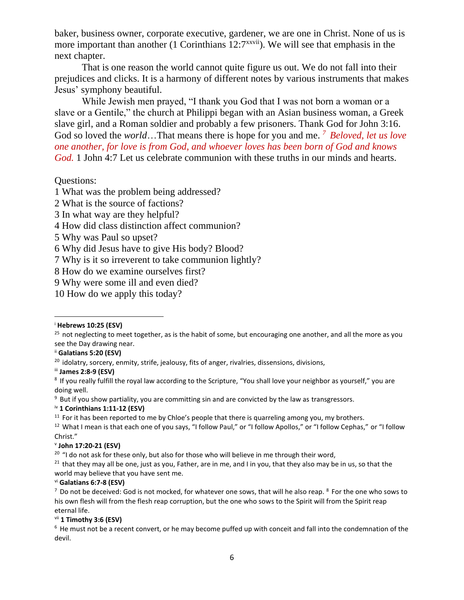baker, business owner, corporate executive, gardener, we are one in Christ. None of us is more important than another (1 Corinthians 12:7<sup>xxvii</sup>). We will see that emphasis in the next chapter.

That is one reason the world cannot quite figure us out. We do not fall into their prejudices and clicks. It is a harmony of different notes by various instruments that makes Jesus' symphony beautiful.

While Jewish men prayed, "I thank you God that I was not born a woman or a slave or a Gentile," the church at Philippi began with an Asian business woman, a Greek slave girl, and a Roman soldier and probably a few prisoners. Thank God for John 3:16. God so loved the *world*…That means there is hope for you and me. *<sup>7</sup>Beloved, let us love one another, for love is from God, and whoever loves has been born of God and knows God.* 1 John 4:7 Let us celebrate communion with these truths in our minds and hearts.

# Questions:

1 What was the problem being addressed?

- 2 What is the source of factions?
- 3 In what way are they helpful?
- 4 How did class distinction affect communion?
- 5 Why was Paul so upset?
- 6 Why did Jesus have to give His body? Blood?
- 7 Why is it so irreverent to take communion lightly?
- 8 How do we examine ourselves first?
- 9 Why were some ill and even died?
- 10 How do we apply this today?

ii **Galatians 5:20 (ESV)** 

<sup>9</sup> But if you show partiality, you are committing sin and are convicted by the law as transgressors.

iv **1 Corinthians 1:11-12 (ESV)** 

## v **John 17:20-21 (ESV)**

 $20$  "I do not ask for these only, but also for those who will believe in me through their word,

 $21$  that they may all be one, just as you, Father, are in me, and I in you, that they also may be in us, so that the world may believe that you have sent me.

vi **Galatians 6:7-8 (ESV)** 

vii **1 Timothy 3:6 (ESV)** 

<sup>i</sup> **Hebrews 10:25 (ESV)** 

 $25$  not neglecting to meet together, as is the habit of some, but encouraging one another, and all the more as you see the Day drawing near.

<sup>&</sup>lt;sup>20</sup> idolatry, sorcery, enmity, strife, jealousy, fits of anger, rivalries, dissensions, divisions,

iii **James 2:8-9 (ESV)** 

<sup>&</sup>lt;sup>8</sup> If you really fulfill the royal law according to the Scripture, "You shall love your neighbor as yourself," you are doing well.

 $11$  For it has been reported to me by Chloe's people that there is quarreling among you, my brothers.

<sup>&</sup>lt;sup>12</sup> What I mean is that each one of you says, "I follow Paul," or "I follow Apollos," or "I follow Cephas," or "I follow Christ."

 $^7$  Do not be deceived: God is not mocked, for whatever one sows, that will he also reap.  $^8$  For the one who sows to his own flesh will from the flesh reap corruption, but the one who sows to the Spirit will from the Spirit reap eternal life.

<sup>&</sup>lt;sup>6</sup> He must not be a recent convert, or he may become puffed up with conceit and fall into the condemnation of the devil.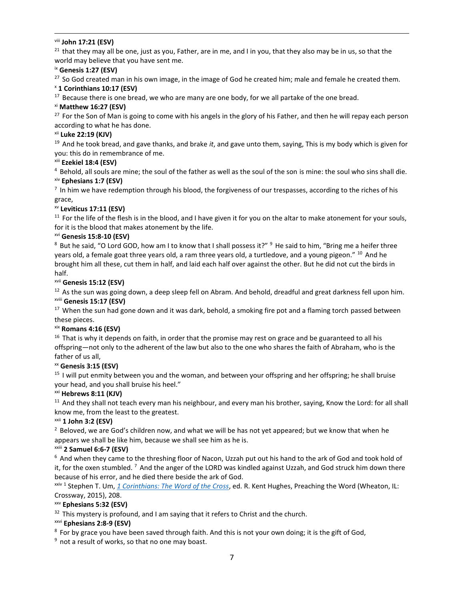## viii **John 17:21 (ESV)**

 $21$  that they may all be one, just as you, Father, are in me, and I in you, that they also may be in us, so that the world may believe that you have sent me.

#### ix **Genesis 1:27 (ESV)**

<sup>27</sup> So God created man in his own image, in the image of God he created him; male and female he created them.

#### <sup>x</sup> **1 Corinthians 10:17 (ESV)**

 $17$  Because there is one bread, we who are many are one body, for we all partake of the one bread.

## xi **Matthew 16:27 (ESV)**

 $27$  For the Son of Man is going to come with his angels in the glory of his Father, and then he will repay each person according to what he has done.

### xii **Luke 22:19 (KJV)**

<sup>19</sup> And he took bread, and gave thanks, and brake *it*, and gave unto them, saying, This is my body which is given for you: this do in remembrance of me.

## xiii **Ezekiel 18:4 (ESV)**

 $4$  Behold, all souls are mine; the soul of the father as well as the soul of the son is mine: the soul who sins shall die. xiv **Ephesians 1:7 (ESV)** 

 $<sup>7</sup>$  In him we have redemption through his blood, the forgiveness of our trespasses, according to the riches of his</sup> grace,

## xv **Leviticus 17:11 (ESV)**

 $11$  For the life of the flesh is in the blood, and I have given it for you on the altar to make atonement for your souls, for it is the blood that makes atonement by the life.

#### xvi **Genesis 15:8-10 (ESV)**

 $8$  But he said, "O Lord GOD, how am I to know that I shall possess it?"  $9$  He said to him, "Bring me a heifer three years old, a female goat three years old, a ram three years old, a turtledove, and a young pigeon." <sup>10</sup> And he brought him all these, cut them in half, and laid each half over against the other. But he did not cut the birds in half.

#### xvii **Genesis 15:12 (ESV)**

 $12$  As the sun was going down, a deep sleep fell on Abram. And behold, dreadful and great darkness fell upon him. xviii **Genesis 15:17 (ESV)** 

 $17$  When the sun had gone down and it was dark, behold, a smoking fire pot and a flaming torch passed between these pieces.

## xix **Romans 4:16 (ESV)**

 $16$  That is why it depends on faith, in order that the promise may rest on grace and be guaranteed to all his offspring—not only to the adherent of the law but also to the one who shares the faith of Abraham, who is the father of us all,

## xx **Genesis 3:15 (ESV)**

<sup>15</sup> I will put enmity between you and the woman, and between your offspring and her offspring; he shall bruise your head, and you shall bruise his heel."

## xxi **Hebrews 8:11 (KJV)**

<sup>11</sup> And they shall not teach every man his neighbour, and every man his brother, saying, Know the Lord: for all shall know me, from the least to the greatest.

## xxii **1 John 3:2 (ESV)**

 $<sup>2</sup>$  Beloved, we are God's children now, and what we will be has not yet appeared; but we know that when he</sup> appears we shall be like him, because we shall see him as he is.

## xxiii **2 Samuel 6:6-7 (ESV)**

 $6$  And when they came to the threshing floor of Nacon, Uzzah put out his hand to the ark of God and took hold of it, for the oxen stumbled.  $^7$  And the anger of the LORD was kindled against Uzzah, and God struck him down there because of his error, and he died there beside the ark of God.

xxiv 1 Stephen T. Um, *[1 Corinthians: The Word of the Cross](https://ref.ly/logosres/prwd67co1?ref=Bible.1Co11.17-34&off=13813&ctx=nrepentant+heart.14+~If+one+is+afflicted+)*, ed. R. Kent Hughes, Preaching the Word (Wheaton, IL: Crossway, 2015), 208.

## xxv **Ephesians 5:32 (ESV)**

 $32$  This mystery is profound, and I am saying that it refers to Christ and the church.

#### xxvi **Ephesians 2:8-9 (ESV)**

<sup>8</sup> For by grace you have been saved through faith. And this is not your own doing; it is the gift of God,

<sup>9</sup> not a result of works, so that no one may boast.